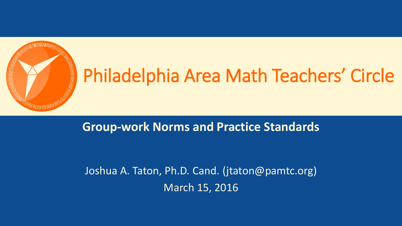

## **Group-work Norms and Practice Standards**

## Joshua A. Taton, Ph.D. Cand. (jtaton@pamtc.org) March 15, 2016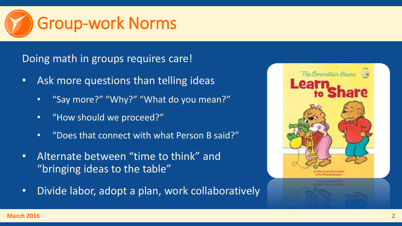

Doing math in groups requires care!

- Ask more questions than telling ideas
	- "Say more?" "Why?" "What do you mean?"
	- "How should we proceed?"
	- "Does that connect with what Person B said?"
- Alternate between "time to think" and "bringing ideas to the table"
- Divide labor, adopt a plan, work collaboratively

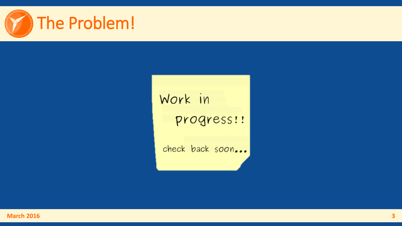

Work in progress!!

check back soon...

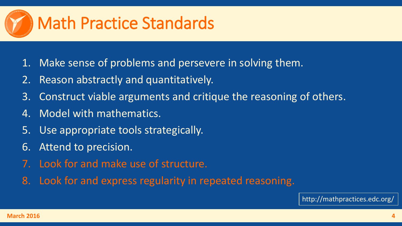## Math Practice Standards

- 1. Make sense of problems and persevere in solving them.
- 2. Reason abstractly and quantitatively.
- 3. Construct viable arguments and critique the reasoning of others.
- 4. Model with mathematics.
- 5. Use appropriate tools strategically.
- 6. Attend to precision.
- **Look for and make use of structure.**
- 8. Look for and express regularity in repeated reasoning.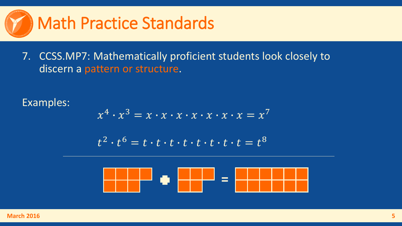

7. CCSS.MP7: Mathematically proficient students look closely to discern a pattern or structure.

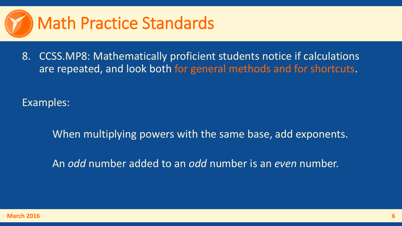

8. CCSS.MP8: Mathematically proficient students notice if calculations are repeated, and look both for general methods and for shortcuts.

Examples:

When multiplying powers with the same base, add exponents.

An *odd* number added to an *odd* number is an *even* number.